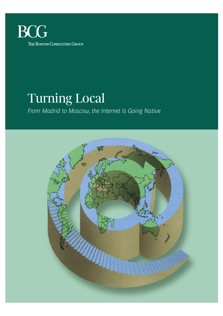

# Turning Local

*From Madrid to Moscow, the Internet Is Going Native*

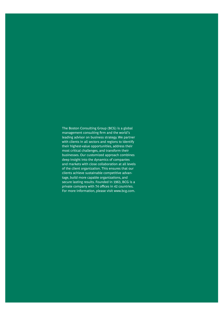The Boston Consulting Group (BCG) is a global management consulting firm and the world's leading advisor on business strategy. We partner with clients in all sectors and regions to identify their highest-value opportunities, address their most critical challenges, and transform their businesses. Our customized approach combines deep insight into the dynamics of companies and markets with close collaboration at all levels of the client organization. This ensures that our clients achieve sustainable competitive advantage, build more capable organizations, and secure lasting results. Founded in 1963, BCG is a private company with 74 offices in 42 countries. For more information, please visit www.bcg.com.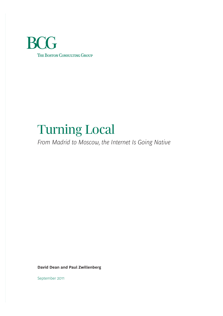

# Turning Local

*From Madrid to Moscow, the Internet Is Going Native*

**David Dean and Paul Zwillenberg**

September 2011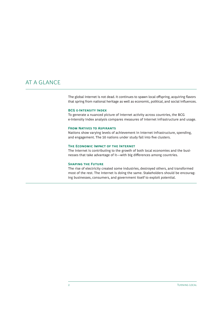# AT A GLANCE

The global Internet is not dead. It continues to spawn local offspring, acquiring flavors that spring from national heritage as well as economic, political, and social influences.

#### **BCG E-INTENSITY INDEX**

To generate a nuanced picture of Internet activity across countries, the BCG e-Intensity Index analysis compares measures of Internet infrastructure and usage.

## **FROM NATIVES TO ASPIRANTS**

Nations show varying levels of achievement in Internet infrastructure, spending, and engagement. The 50 nations under study fall into five clusters.

#### **THE ECONOMIC IMPACT OF THE INTERNET**

The Internet is contributing to the growth of both local economies and the businesses that take advantage of it—with big differences among countries.

#### **SHAPING THE FUTURE**

The rise of electricity created some industries, destroyed others, and transformed most of the rest. The Internet is doing the same. Stakeholders should be encouraging businesses, consumers, and government itself to exploit potential.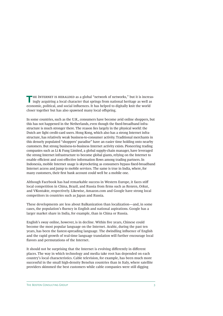THE INTERNET IS HERALDED as a global "network of networks," but it is increasingly acquiring a local character that springs from national heritage as well as economic, political, and social influences. It has helped to digitally knit the world closer together but has also spawned many local offspring.

In some countries, such as the U.K., consumers have become avid online shoppers, but this has not happened in the Netherlands, even though the fixed-broadband infrastructure is much stronger there. The reason lies largely in the physical world: the Dutch are light credit-card users. Hong Kong, which also has a strong Internet infrastructure, has relatively weak business-to-consumer activity. Traditional merchants in this densely populated "shoppers' paradise" have an easier time holding onto nearby customers. But strong business-to-business Internet activity exists. Pioneering trading companies such as Li & Fung Limited, a global supply-chain manager, have leveraged the strong Internet infrastructure to become global giants, relying on the Internet to enable efficient and cost-effective information flows among trading partners. In Indonesia, mobile Internet usage is skyrocketing as consumers bypass fixed-broadband Internet access and jump to mobile services. The same is true in India, where, for many customers, their first bank account could well be a mobile one.

Although Facebook has had remarkable success in Western Europe, it faces stiff local competition in China, Brazil, and Russia from firms such as Renren, Orkut, and VKontakte, respectively. Likewise, Amazon.com and Google have strong local competitors in countries such as Japan and Russia.

These developments are less about Balkanization than localization—and, in some cases, the population's fluency in English and national aspirations. Google has a larger market share in India, for example, than in China or Russia.

English's sway online, however, is in decline. Within five years, Chinese could become the most popular language on the Internet. Arabic, during the past ten years, has been the fastest-spreading language. The dwindling influence of English and the rapid growth of real-time language translation will further encourage local flavors and permutations of the Internet.

It should not be surprising that the Internet is evolving differently in different places. The way in which technology and media take root has depended on each country's local characteristics. Cable television, for example, has been much more successful in the small high-density Benelux countries than in Italy, where satellite providers skimmed the best customers while cable companies were still digging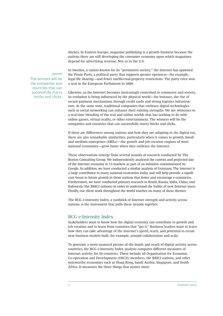ditches. In Eastern Europe, magazine publishing is a growth business because the nations there are still developing the consumer economy upon which magazines depend for advertising revenue. Not so in the U.S.

In Sweden, a nation known for its "permissive society," the Internet has spawned the Pirate Party, a political party that supports greater openness—for example, legal file sharing—and fewer intellectual-property restrictions. The party even won a seat in the European Parliament in 2009.

Likewise, as the Internet becomes increasingly enmeshed in commerce and society, its evolution is being influenced by the physical world—for instance, the rise of secure-payment mechanisms through credit cards and strong logistics infrastructure. At the same time, traditional companies that embrace digital technologies such as social networking can enhance their existing strengths. We are witnesses to a real-time blending of the real and online worlds that has nothing to do with online games, virtual reality, or other entertainment. The winners will be the companies and countries that can successfully marry bricks and clicks.

If there are differences among nations and how they are adapting to the digital era, there are also remarkable similarities, particularly when it comes to growth. Small and medium enterprises (SMEs)—the growth and job creation engines of most national economies—grow faster when they embrace the Internet.

These observations emerge from several strands of research conducted by The Boston Consulting Group. We independently analyzed the current and projected size of the Internet economy in 13 markets as part of an initiative commissioned by Google. In addition, we have conducted a similar analysis of Germany. The Internet is a large contributor to many national economies today and will help provide a signifi cant boost to future growth in those nations that foster and encourage e-commerce. Furthermore, we have conducted primary research in Brazil, Russia, India, China, and Indonesia (the BRICI nations) in order to understand the habits of new Internet users. Finally, our client work throughout the world touches on many of these themes.

The BCG e-Intensity Index, a yardstick of Internet strength and activity across nations, is the instrument that pulls these strands together.

## BCG e-Intensity Index

Stakeholders want to know how the digital economy can contribute to growth and job creation and to learn from countries that "get it." Business leaders want to learn how they can take advantage of the Internet's speed, reach, and potential to create new business models built, for example, around collaboration and scale.

To generate a more nuanced picture of the depth and reach of digital activity across countries, the BCG e-Intensity Index analysis compares different measures of Internet activity for 50 countries. These include all Organisation for Economic Co-operation and Development (OECD) members, the BRICI nations, and other noteworthy economies such as Hong Kong, Saudi Arabia, Singapore, and South Africa. It measures the three things that matter most:

The winners will be the companies and countries that can successfully marry bricks and clicks.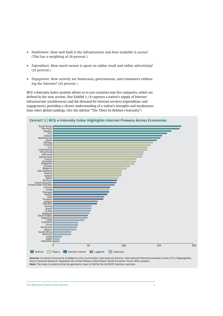- *Enablement*. How well built is the infrastructure and how available is access? (This has a weighting of 50 percent.)
- *Expenditure.* How much money is spent on online retail and online advertising? (25 percent.)
- *Engagement.* How actively are businesses, governments, and consumers embracing the Internet? (25 percent.)

BCG e-Intensity Index analysis allows us to sort countries into five categories, which are defined in the next section. (See Exhibit 1.) It captures a nation's supply of Internet infrastructure (enablement) and the demand for Internet services (expenditure and engagement), providing a clearer understanding of a nation's strengths and weaknesses than other global rankings. (See the sidebar "The Three Es Behind e-Intensity.")



## **E | BCG e-Intensity Index Highlights Internet Prowess Across Economies**

**Sources:** ComScore; Economist Intelligence Unit; Euromonitor International; Gartner; International Telecommunication Union (ITU); Magnaglobal; Ovum; Pyramid Research; Speedtest.net; United Nations; World Bank; World Economic Forum; BCG analysis. **Note:** The index is scaled so that the geometric mean is 100 for the 34 OECD member countries.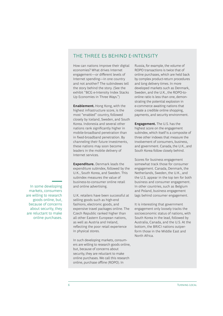# THE THREE ES BEHIND F-INTENSITY

How can nations improve their digital economies? What drives Internet engagement—or different levels of Internet spending—in one country and not another? The subindexes tell the story behind the story. (See the exhibit "BCG e-Intensity Index Stacks Up Economies in Three Ways.")

**Enablement.** Hong Kong, with the highest infrastructure score, is the most "enabled" country, followed closely by Iceland, Sweden, and South Korea. Indonesia and several other nations rank significantly higher in mobile-broadband penetration than in fixed-broadband penetration. By channeling their future investments, these nations may soon become leaders in the mobile delivery of Internet services.

**Expenditure.** Denmark leads the expenditure subindex, followed by the U.K., South Korea, and Sweden. This subindex measures the value of business-to-consumer online retail and online advertising.

U.K. retailers have been successful at selling goods such as high-end fashions, electronic goods, and expensive travel packages online. The Czech Republic ranked higher than all other Eastern European nations, as well as Austria and Ireland, reflecting the poor retail experience in physical stores.

In such developing markets, consumers are willing to research goods online, but, because of concerns about security, they are reluctant to make online purchases. We call this research online, purchase offline (ROPO). In

Russia, for example, the volume of ROPO transactions is twice that of online purchases, which are held back by complex product-return procedures and long delivery times. In more developed markets such as Denmark, Sweden, and the U.K., the ROPO-toonline ratio is less than one, demonstrating the potential explosion in e-commerce awaiting nations that create a credible online shopping, payments, and security environment.

**Engagement.** The U.S. has the highest score on the engagement subindex, which itself is a composite of three other indexes that measure the involvement of consumers, business, and government. Canada, the U.K., and South Korea follow closely behind.

Scores for business engagement somewhat track those for consumer engagement. Canada, Denmark, the Netherlands, Sweden, the U.K., and the U.S. appear in the top ten for both business and consumer engagement. In other countries, such as Belgium and Poland, business engagement lags behind consumer engagement.

It is interesting that government engagement only loosely tracks the socioeconomic status of nations, with South Korea in the lead, followed by Australia, Canada, and the U.S. At the bottom, the BRICI nations outperform those in the Middle East and North Africa.

In some developing markets, consumers are willing to research goods online, but, because of concerns about security, they are reluctant to make online purchases.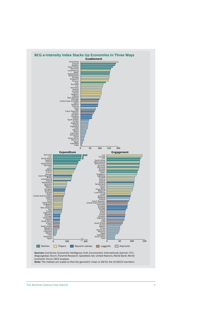

Economic Forum; BCG analysis.

**Note:** The indexes are scaled so that the geometric mean is 100 for the 34 OECD members.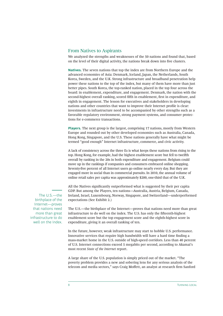## From Natives to Aspirants

We analyzed the strengths and weaknesses of the 50 nations and found that, based on the level of their digital activity, the nations break down into five clusters.

**Natives.** The seven nations that top the index are from Northern Europe and the advanced economies of Asia: Denmark, Iceland, Japan, the Netherlands, South Korea, Sweden, and the U.K. Strong infrastructure and broadband penetration help power these nations to the top of the index, but many of them have more than just better pipes. South Korea, the top-ranked nation, placed in the top four across the board: in enablement, expenditure, and engagement. Denmark, the nation with the second-highest overall ranking, scored fifth in enablement, first in expenditure, and eighth in engagement. The lesson for executives and stakeholders in developing nations and other countries that want to improve their Internet profile is clear: investments in infrastructure need to be accompanied by other strengths such as a favorable regulatory environment, strong payment systems, and consumer protections for e-commerce transactions.

**Players.** The next group is the largest, comprising 17 nations, mostly from Western Europe and rounded out by other developed economies such as Australia, Canada, Hong Kong, Singapore, and the U.S. These nations generally have what might be termed "good enough" Internet infrastructure, commerce, and civic activity.

A lack of consistency across the three Es is what keeps these nations from rising to the top. Hong Kong, for example, had the highest enablement score but fell to twelfth overall by ranking in the 20s in both expenditure and engagement. Belgium could move up in the rankings if companies and consumers embraced online shopping. Seventy-five percent of all Internet users go online nearly every day. But they are engaged more in social than in commercial pursuits. In 2010, the annual volume of online retail sales per capita was approximately \$200, one-third that of the U.K.

All the Natives significantly outperformed what is suggested by their per capita GDP. But among the Players, ten nations—Australia, Austria, Belgium, Canada, Ireland, Israel, Luxembourg, Norway, Singapore, and Switzerland—underperformed expectations (See Exhibit 2.)

The U.S.—the birthplace of the Internet—proves that nations need more than great infrastructure to do well on the index. The U.S. has only the fifteenth-highest enablement score but the top engagement score and the eighth-highest score in expenditure, giving it an overall ranking of ten.

In the future, however, weak infrastructure may start to hobble U.S. performance. Innovative services that require high bandwidth will have a hard time finding a mass-market home in the U.S. outside of high-speed corridors. Less than 40 percent of U.S. Internet connections exceed 5 megabits per second, according to Akamai's most recent *State of the Internet* report.

A large share of the U.S. population is simply priced out of the market. "The poverty problem provides a new and sobering lens for any serious analysis of the telecom and media sectors," says Craig Moffett, an analyst at research firm Sanford

The U.S.—the birthplace of the Internet—proves that nations need more than great infrastructure to do well on the index.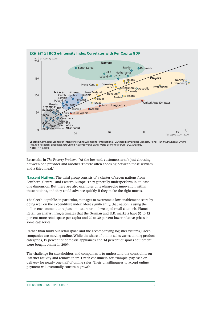

**Sources:** ComScore; Economist Intelligence Unit; Euromonitor International; Gartner; International Monetary Fund; ITU; Magnaglobal; Ovum; Pyramid Research; Speedtest.net; United Nations; World Bank; World Economic Forum; BCG analysis. **Note:**  $R^2 = 0.8109$ .

Bernstein, in *The Poverty Problem.* "At the low end, customers aren't just choosing between one provider and another. They're often choosing between these services and a third meal."

**Nascent Natives.** The third group consists of a cluster of seven nations from Southern, Central, and Eastern Europe. They generally underperform in at least one dimension. But there are also examples of leading-edge innovation within these nations, and they could advance quickly if they make the right moves.

The Czech Republic, in particular, manages to overcome a low enablement score by doing well on the expenditure index. More significantly, that nation is using the online environment to replace immature or undeveloped retail channels. Planet Retail, an analyst firm, estimates that the German and U.K. markets have 35 to 75 percent more retail space per capita and 20 to 30 percent lower relative prices in some categories.

Rather than build out retail space and the accompanying logistics systems, Czech companies are moving online. While the share of online sales varies among product categories, 17 percent of domestic appliances and 14 percent of sports equipment were bought online in 2009.

The challenge for stakeholders and companies is to understand the constraints on Internet activity and remove them. Czech consumers, for example, pay cash on delivery for nearly one-half of online sales. Their unwillingness to accept online payment will eventually constrain growth.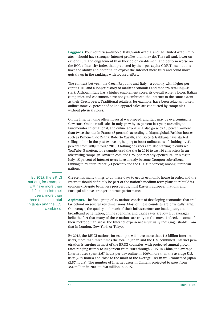**Laggards.** Four countries—Greece, Italy, Saudi Arabia, and the United Arab Emirates—should have stronger Internet profiles than they do. They all rank lower on expenditure and engagement than they do on enablement and perform worse on the BCG e-Intensity Index than predicted by their per capita GDP. These nations have the ability and potential to exploit the Internet more fully and could move quickly up in the rankings with focused effort.

The contrast between the Czech Republic and Italy—a country with higher per capita GDP and a longer history of market economics and modern retailing—is stark. Although Italy has a higher enablement score, its overall score is lower. Italian companies and consumers have not yet embraced the Internet to the same extent as their Czech peers. Traditional retailers, for example, have been reluctant to sell online: some 70 percent of online apparel sales are conducted by companies without physical stores.

On the Internet, time often moves at warp speed, and Italy may be overcoming its slow start. Online retail sales in Italy grew by 18 percent last year, according to Euromonitor International, and online advertising also grew by 18 percent—more than twice the rate in France (8 percent), according to Magnaglobal. Fashion houses such as Ermenegildo Zegna, Roberto Cavalli, and Dolce & Gabbana have started selling online in the past two years, helping to boost online sales of clothing by 43 percent from 2009 through 2010. Clothing designers are also starting to embrace YouTube; Benetton, for example, used the site in 2010 to cast 20 characters in an advertising campaign. Amazon.com and Groupon recently opened Italian sites; in Italy, 15 percent of Internet users have already become Groupon subscribers, ranking third after France (21 percent) and the U.K. (17 percent) among European nations.

By 2015, the BRICI nations, for example, will have more than 1.2 billion Internet users, more than three times the total in Japan and the U.S. combined.

Greece has many things to do these days to get its economic house in order, and the Internet should definitely be part of the nation's medium-term plans to rebuild its economy. Despite being less prosperous, most Eastern European nations and Portugal all have stronger Internet performance.

**Aspirants.** The final group of 15 nations consists of developing economies that trail far behind on several key dimensions. Most of these countries are physically large. On average, the quality and reach of their infrastructure are inadequate, and broadband penetration, online spending, and usage rates are low. But averages belie the fact that many of these nations are truly on the move. Indeed, in some of their metropolitan areas, the Internet experience is virtually indistinguishable from that in London, New York, or Tokyo.

By 2015, the BRICI nations, for example, will have more than 1.2 billion Internet users, more than three times the total in Japan and the U.S. combined. Internet penetration is surging in most of the BRICI countries, with projected annual growth rates ranging from 9 to 20 percent from 2009 through 2015. In China, the average Internet user spent 2.67 hours per day online in 2009, more than the average U.S. user (2.27 hours) and close to the mark of the average user in well-connected Japan (2.87 hours). The number of Internet users in China is projected to grow from 384 million in 2009 to 650 million in 2015.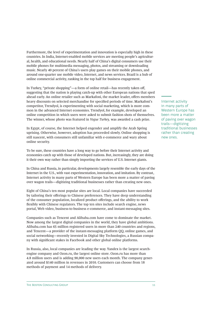Furthermore, the level of experimentation and innovation is especially high in these countries. In India, Internet-enabled mobile services are meeting people's agricultural, health, and educational needs. Nearly half of China's digital consumers use their mobile phones for multimedia messaging, photos, and streaming or downloading music. Nearly 40 percent of China's users play games on their mobile phones, and around one-quarter use mobile video, Internet, and news services. Brazil is a hub of online commercial activity, ranking in the top half for business engagement.

In Turkey, "private shopping"—a form of online retail—has recently taken off, suggesting that the nation is playing catch-up with other European nations that sped ahead early. An online retailer such as Markafoni, the market leader, offers members heavy discounts on selected merchandise for specified periods of time. Markafoni's competitor, Trendyol, is experimenting with social marketing, which is more common in the advanced Internet economies. Trendyol, for example, developed an online competition in which users were asked to submit fashion shots of themselves. The winner, whose photo was featured in *Vogue Turkey,* was awarded a cash prize.

In Egypt, of course, the Internet helped engender and amplify the Arab Spring uprising. Otherwise, however, adoption has proceeded slowly. Online shopping is still nascent, with consumers still unfamiliar with e-commerce and wary about online security.

To be sure, these countries have a long way to go before their Internet activity and economies catch up with those of developed nations. But, increasingly, they are doing it their own way rather than simply importing the services of U.S. Internet giants.

In China and Russia, in particular, developments largely resemble the early days of the Internet in the U.S., with vast experimentation, innovation, and imitation. By contrast, Internet activity in many parts of Western Europe has been more a matter of paving over wagon trails—digitizing traditional businesses rather than creating new ones.

Eight of China's ten most popular sites are local. Local companies have succeeded by tailoring their offerings to Chinese preferences. They have deep understanding of the consumer population, localized product offerings, and the ability to work flexibly with Chinese regulators. The top ten sites include search engine, news portal, Web video, business-to-business e-commerce, and instant-messaging sites.

Companies such as Tencent and Alibaba.com have come to dominate the market. Now among the largest digital companies in the world, they have global ambitions. Alibaba.com has 65 million registered users in more than 240 countries and regions, and Tencent—a provider of the instant-messaging platform QQ, online games, and social networking—recently invested in Digital Sky Technologies, a Russian company with significant stakes in Facebook and other global online platforms.

In Russia, also, local companies are leading the way. Yandex is the largest searchengine company and Ozon.ru, the largest online store. Ozon.ru has more than 4.8 million users and is adding 90,000 new users each month. The company generated around \$140 million in revenues in 2010. Customers can choose from 18 methods of payment and 14 methods of delivery.

Internet activity in many parts of Western Europe has been more a matter of paving over wagon trails—digitizing traditional businesses rather than creating new ones.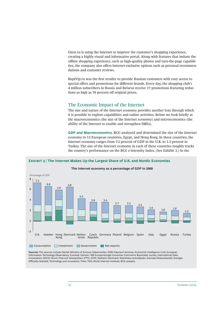Ozon.ru is using the Internet to improve the customer's shopping experience, creating a highly visual and informative portal. Along with features that imitate the offline shopping experience, such as high-quality photos and turn-the-page capabilities, the company also offers Internet-exclusive options such as personal recommendations and customer reviews.

KupiVip.ru was the first retailer to provide Russian customers with easy access to special offers and promotions for different brands. Every day, the shopping club's 4 million subscribers in Russia and Belarus receive 17 promotions featuring reductions as high as 70 percent off original prices.

## The Economic Impact of the Internet

The size and nature of the Internet economy provides another lens through which it is possible to explore capabilities and online activities. Below we look briefly at the macroeconomics (the size of the Internet economy) and microeconomics (the ability of the Internet to enable and strengthen SMEs).

**GDP and Macroeconomics.** BCG analyzed and determined the size of the Internet economy in 12 European countries, Egypt, and Hong Kong. In these countries, the Internet economy ranges from 7.2 percent of GDP in the U.K. to 1.2 percent in Turkey. The size of the Internet economy in each of these countries roughly tracks the country's performance on the BCG e-Intensity Index. (See Exhibit 3.) In the



**The Internet economy as a percentage of GDP in 2009**

**E | The Internet Makes Up the Largest Share of U.K. and Nordic Economies**

**Sources:** The sources include Danish Ministry of Science; Datamonitor; DIBS Payment Services; Economist Intelligence Unit; European Information Technology Observatory; Eurostat; Gartner; IAB Europe/Google Consumer Commerce Barometer survey; International Data Corporation; OECD; Ovum; Post-och telestyrelsen (PTS); SIFO; Statistics Denmark; Statistiska centralbyrån; Svenska Distanshandel; Sveriges Officiella Statistik; Technology and Innovation; Tieto; TNS; World Internet Institute; BCG analysis.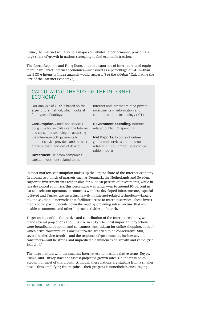future, the Internet will also be a major contributor to performance, providing a large share of growth in nations struggling to find economic traction.

The Czech Republic and Hong Kong, both net exporters of Internet-related equipment, have larger Internet economies—measured as a percentage of GDP—than the BCG e-Intensity Index analysis would suggest. (See the sidebar "Calculating the Size of the Internet Economy.")

## CALCULATING THE SIZE OF THE INTERNET ECONOMY

Our analysis of GDP is based on the expenditure method, which looks at four types of outlays:

**Consumption.** Goods and services bought by households over the Internet and consumer spending on accessing the Internet—both payments to Internet service providers and the cost of the relevant portions of devices

**Investment.** Telecom companies' capital investment related to the

Internet and Internet-related private investments in information and communications technology (ICT)

**Government Spending.** Internetrelated public ICT spending

**Net Exports.** Exports of online goods and services and Internetrelated ICT equipment, less comparable imports

In most markets, consumption makes up the largest share of the Internet economy. In around two-thirds of markets such as Denmark, the Netherlands and Sweden, corporate investment was responsible for 60 to 70 percent of investments, while in less developed countries, this percentage was larger—up to around 90 percent in Russia. Telecom operators in countries with less developed infrastructure, especially Egypt and Turkey, are investing heavily in Internet-related technology—largely 3G and 4G mobile networks that facilitate access to Internet services. These investments could pay dividends down the road by providing infrastructure that will enable e-commerce and other Internet activities to flourish.

To get an idea of the future size and contribution of the Internet economy, we made several projections about its size in 2015. The most important projections were broadband adoption and consumers' enthusiasm for online shopping, both of which drive consumption. Looking forward, we tried to be conservative. Still, several underlying trends—and the response of governments, businesses, and consumers—will be strong and unpredictable influences on growth and value. (See Exhibit 4.)

The three nations with the smallest Internet economies, in relative terms, Egypt, Russia, and Turkey, have the fastest projected growth rates. Online retail sales account for most of this growth. Although these nations are starting from a smaller base—thus amplifying future gains—their progress is nonetheless encouraging.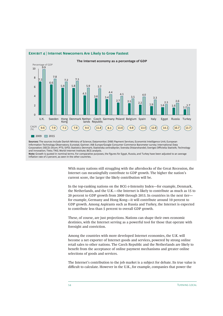

## **EXHIBIT 4 | Internet Newcomers Are Likely to Grow Fastest**

**Sources:** The sources include Danish Ministry of Science; Datamonitor; DIBS Payment Services; Economist Intelligence Unit; European Information Technology Observatory; Eurostat; Gartner; IAB Europe/Google Consumer Commerce Barometer survey; International Data Corporation; OECD; Ovum; PTS; SIFO; Statistics Denmark; Statistiska centralbyrån; Svenska Distanshandel; Sveriges Officiella Statistik; Technology and Innovation; Tieto; TNS; World Internet Institute; BCG analysis.

**Note:** Growth is quoted in nominal terms. For comparative purposes, the figures for Egypt, Russia, and Turkey have been adjusted to an average inflation rate of 2 percent, as seen in the other countries.

> With many nations still struggling with the aftershocks of the Great Recession, the Internet can meaningfully contribute to GDP growth. The higher the nation's current score, the larger the likely contribution will be.

In the top-ranking nations on the BCG e-Intensity Index—for example, Denmark, the Netherlands, and the U.K.—the Internet is likely to contribute as much as 15 to 20 percent to GDP growth from 2009 through 2015. In countries in the next tier for example, Germany and Hong Kong—it will contribute around 10 percent to GDP growth. Among Aspirants such as Russia and Turkey, the Internet is expected to contribute less than 5 percent to overall GDP growth.

These, of course, are just projections. Nations can shape their own economic destinies, with the Internet serving as a powerful tool for those that operate with foresight and conviction.

Among the countries with more developed Internet economies, the U.K. will become a net exporter of Internet goods and services, powered by strong online retail sales to other nations. The Czech Republic and the Netherlands are likely to benefit from the acceptance of online payment mechanisms and greater online selections of goods and services.

The Internet's contribution to the job market is a subject for debate. Its true value is difficult to calculate. However in the U.K., for example, companies that power the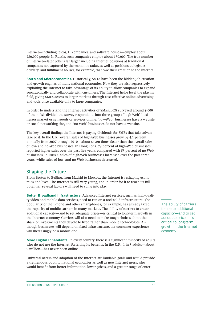Internet—including telcos, IT companies, and software houses—employ about 250,000 people. In Russia, such companies employ about 130,000. The true number of Internet-related jobs is far larger, including Internet positions at traditional companies not captured by the economic radar, as well as positions at logistics, delivery, and fulfillment houses, for example, that owe their creation to the Internet.

**SMEs and Microeconomics.** Historically, SMEs have been the hidden job-creation and growth engines of many national economies. Now they are also aggressively exploiting the Internet to take advantage of its ability to allow companies to expand geographically and collaborate with customers. The Internet helps level the playing field, giving SMEs access to larger markets through cost-effective online advertising and tools once available only to large companies.

In order to understand the Internet activities of SMEs, BCG surveyed around 9,000 of them. We divided the survey respondents into three groups: "high-Web" businesses market or sell goods or services online, "low-Web" businesses have a website or social-networking site, and "no-Web" businesses do not have a website.

The key overall finding: the Internet is paying dividends for SMEs that take advantage of it. In the U.K., overall sales of high-Web businesses grew by 4.1 percent annually from 2007 through 2010—about seven times faster than the overall sales of low- and no-Web businesses. In Hong Kong, 79 percent of high-Web businesses reported higher sales over the past five years, compared with 63 percent of no-Web businesses. In Russia, sales of high-Web businesses increased over the past three years, while sales of low- and no-Web businesses decreased.

## Shaping the Future

From Boston to Beijing, from Madrid to Moscow, the Internet is reshaping economies and lives. The Internet is still very young, and in order for it to reach its full potential, several factors will need to come into play.

**Better Broadband Infrastructure.** Advanced Internet services, such as high-quality video and mobile data services, need to run on a rock-solid infrastructure. The popularity of the iPhone and other smartphones, for example, has already taxed the capacity of mobile carriers in many markets. The ability of carriers to create additional capacity—and to set adequate prices—is critical to long-term growth in the Internet economy. Carriers will also need to make tough choices about the share of investments they devote to fixed rather than mobile technologies. Although businesses will depend on fixed infrastructure, the consumer experience will increasingly be a mobile one.

**More Digital Inhabitants.** In every country, there is a significant minority of adults who do not use the Internet, forfeiting its benefits. In the U.K., 1 in 5 adults—about 9 million—has never been online.

Universal access and adoption of the Internet are laudable goals and would provide a tremendous boon to national economies as well as new Internet users, who would benefit from better information, lower prices, and a greater range of enterThe ability of carriers to create additional capacity—and to set adequate prices—is critical to long-term growth in the Internet economy.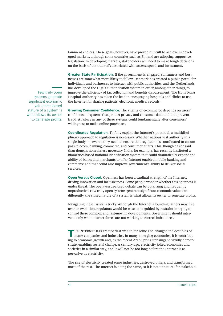tainment choices. These goals, however, have proved difficult to achieve in developed markets, although some countries such as Finland are adopting supportive legislation. In developing markets, stakeholders will need to make tough decisions on the basis of the tradeoffs associated with access, speed, and investment.

**Greater State Participation.** If the government is engaged, consumers and businesses are somewhat more likely to follow. Denmark has created a public portal for individuals and businesses to interact with public authorities, and the Netherlands has developed the DigiD authentication system in order, among other things, to improve the efficiency of tax collection and benefits disbursement. The Hong Kong Hospital Authority has taken the lead in encouraging hospitals and clinics to use the Internet for sharing patients' electronic medical records.

**Growing Consumer Confidence.** The vitality of e-commerce depends on users' confidence in systems that protect privacy and consumer data and that prevent fraud. A failure in any of these systems could fundamentally alter consumers' willingness to make online purchases.

**Coordinated Regulation.** To fully exploit the Internet's potential, a multidisciplinary approach to regulation is necessary. Whether nations vest authority in a single body or several, they need to ensure that regulation is coordinated to encompass telecom, banking, commerce, and consumer affairs. This, though easier said than done, is nonetheless necessary. India, for example, has recently instituted a biometrics-based national identification system that could dramatically expand the ability of banks and merchants to offer Internet-enabled mobile banking and commerce and that could also improve government's ability to deliver social services.

**Open Versus Closed.** Openness has been a cardinal strength of the Internet, driving innovation and inclusiveness. Some people wonder whether this openness is under threat. The open-versus-closed debate can be polarizing and frequently unproductive. Few truly open systems generate significant economic value. Put differently, the closed nature of a system is what allows its owner to generate profits.

Navigating these issues is tricky. Although the Internet's founding fathers may fret over its evolution, regulators would be wise to be guided by restraint in trying to control these complex and fast-moving developments. Government should intervene only when market forces are not working to correct imbalances.

THE INTERNET HAS created vast wealth for some and changed the destinies of many companies and industries. In many emerging economies, it is contributing to economic growth and, as the recent Arab Spring uprisings so vividly demonstrate, enabling societal change. A century ago, electricity jolted economies and societies in a similar way, and it will not be too long before the Internet is as pervasive as electricity.

The rise of electricity created some industries, destroyed others, and transformed most of the rest. The Internet is doing the same, so it is not unnatural for stakehold-

Few truly open systems generate significant economic value: the closed nature of a system is what allows its owner to generate profits.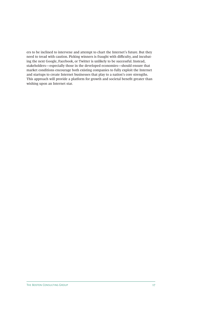ers to be inclined to intervene and attempt to chart the Internet's future. But they need to tread with caution. Picking winners is fraught with difficulty, and incubating the next Google, Facebook, or Twitter is unlikely to be successful. Instead, stakeholders—especially those in the developed economies—should ensure that market conditions encourage both existing companies to fully exploit the Internet and startups to create Internet businesses that play to a nation's core strengths. This approach will provide a platform for growth and societal benefit greater than wishing upon an Internet star.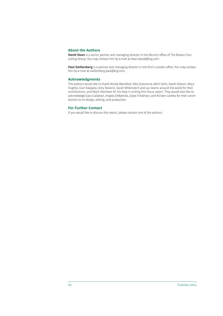## **About the Authors**

**David Dean** is a senior partner and managing director in the Munich office of The Boston Consulting Group. You may contact him by e-mail at dean.david@bcg.com.

Paul Zwillenberg is a partner and managing director in the firm's London office. You may contact him by e-mail at zwillenberg.paul@bcg.com.

### **Acknowledgments**

The authors would like to thank Nicola Blackford, Alla Dubrovina, Mimi Gehl, Sarah Gibson, Mary Hughes, Carl Kalapesi, Amy Stevens, Sarah Willersdorf, and our teams around the world for their contributions, and Mark Voorhees for his help in writing this Focus report. They would also like to acknowledge Gary Callahan, Angela DiBattista, Elyse Friedman, and Kirsten Leshko for their contributions to its design, editing, and production.

## **For Further Contact**

If you would like to discuss this report, please contact one of the authors.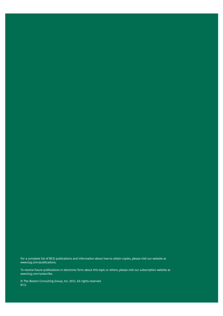For a complete list of BCG publications and information about how to obtain copies, please visit our website at www.bcg.com/publications.

To receive future publications in electronic form about this topic or others, please visit our subscription website at www.bcg.com/subscribe.

© The Boston Consulting Group, Inc. 2011. All rights reserved. 9/11